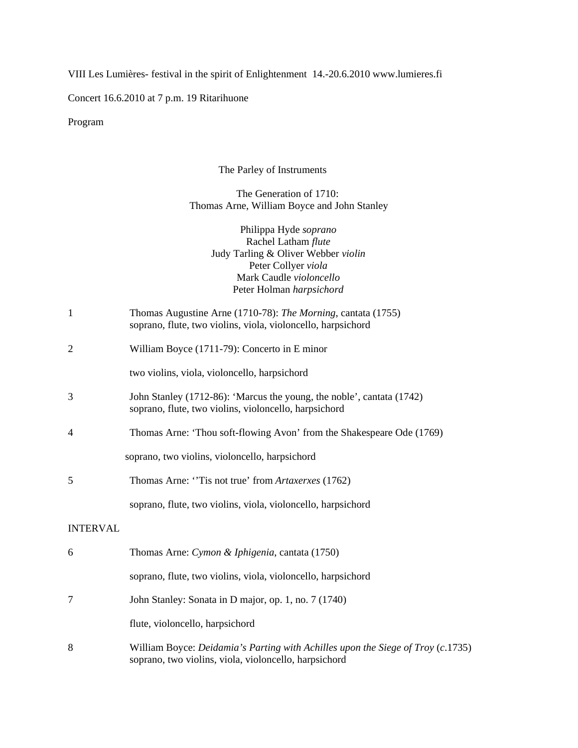VIII Les Lumières- festival in the spirit of Enlightenment 14.-20.6.2010 www.lumieres.fi

Concert 16.6.2010 at 7 p.m. 19 Ritarihuone

Program

## The Parley of Instruments

## The Generation of 1710: Thomas Arne, William Boyce and John Stanley

Philippa Hyde *soprano* Rachel Latham *flute* Judy Tarling & Oliver Webber *violin* Peter Collyer *viola* Mark Caudle *violoncello* Peter Holman *harpsichord*

| Thomas Augustine Arne (1710-78): The Morning, cantata (1755) |
|--------------------------------------------------------------|
| soprano, flute, two violins, viola, violoncello, harpsichord |

2 William Boyce (1711-79): Concerto in E minor

two violins, viola, violoncello, harpsichord

- 3 John Stanley (1712-86): 'Marcus the young, the noble', cantata (1742) soprano, flute, two violins, violoncello, harpsichord
- 4 Thomas Arne: 'Thou soft-flowing Avon' from the Shakespeare Ode (1769)

soprano, two violins, violoncello, harpsichord

5 Thomas Arne: ''Tis not true' from *Artaxerxes* (1762)

soprano, flute, two violins, viola, violoncello, harpsichord

## INTERVAL

| 6 | Thomas Arne: Cymon & Iphigenia, cantata (1750)                                                                                                  |
|---|-------------------------------------------------------------------------------------------------------------------------------------------------|
|   | soprano, flute, two violins, viola, violoncello, harpsichord                                                                                    |
|   | John Stanley: Sonata in D major, op. 1, no. 7 (1740)                                                                                            |
|   | flute, violoncello, harpsichord                                                                                                                 |
| 8 | William Boyce: <i>Deidamia's Parting with Achilles upon the Siege of Troy (c.1735)</i><br>soprano, two violins, viola, violoncello, harpsichord |